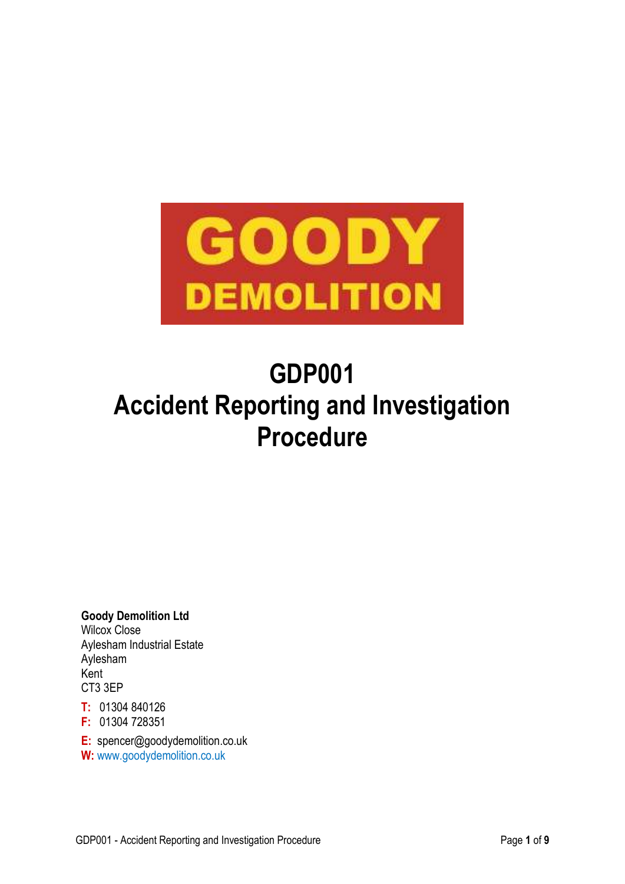

# **GDP001 Accident Reporting and Investigation Procedure**

**Goody Demolition Ltd** Wilcox Close Aylesham Industrial Estate Aylesham Kent CT3 3EP

**T:** 01304 840126

**F:** 01304 728351

**E:** spencer@goodydemolition.co.uk

**W:** www.goodydemolition.co.uk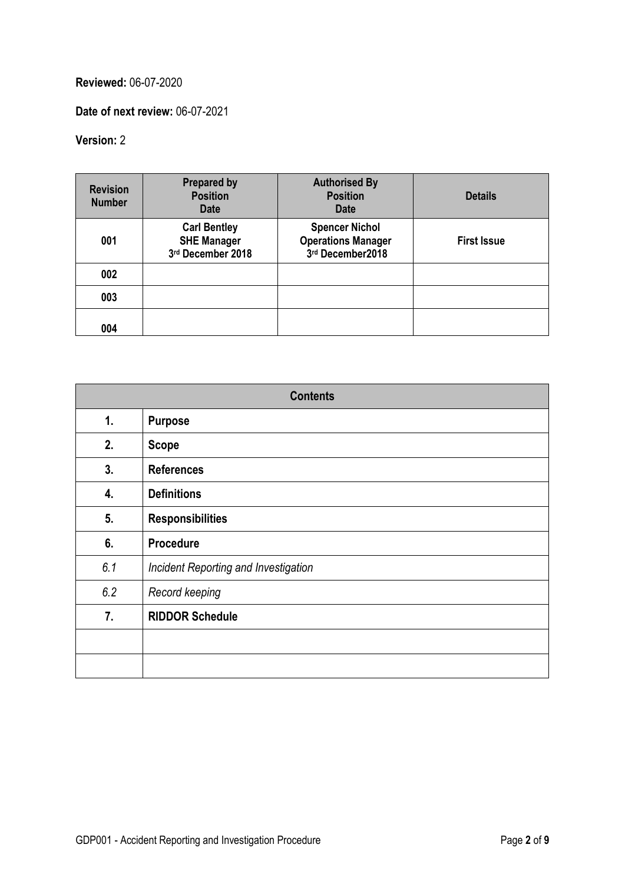# **Reviewed:** 06-07-2020

**Date of next review:** 06-07-2021

# **Version:** 2

| <b>Revision</b><br><b>Number</b> | <b>Prepared by</b><br><b>Position</b><br><b>Date</b>           | <b>Authorised By</b><br><b>Position</b><br><b>Date</b>                 | <b>Details</b>     |
|----------------------------------|----------------------------------------------------------------|------------------------------------------------------------------------|--------------------|
| 001                              | <b>Carl Bentley</b><br><b>SHE Manager</b><br>3rd December 2018 | <b>Spencer Nichol</b><br><b>Operations Manager</b><br>3rd December2018 | <b>First Issue</b> |
| 002                              |                                                                |                                                                        |                    |
| 003                              |                                                                |                                                                        |                    |
| 004                              |                                                                |                                                                        |                    |

| <b>Contents</b> |                                      |  |
|-----------------|--------------------------------------|--|
| 1.              | <b>Purpose</b>                       |  |
| 2.              | <b>Scope</b>                         |  |
| 3.              | <b>References</b>                    |  |
| 4.              | <b>Definitions</b>                   |  |
| 5.              | <b>Responsibilities</b>              |  |
| 6.              | <b>Procedure</b>                     |  |
| 6.1             | Incident Reporting and Investigation |  |
| 6.2             | Record keeping                       |  |
| 7.              | <b>RIDDOR Schedule</b>               |  |
|                 |                                      |  |
|                 |                                      |  |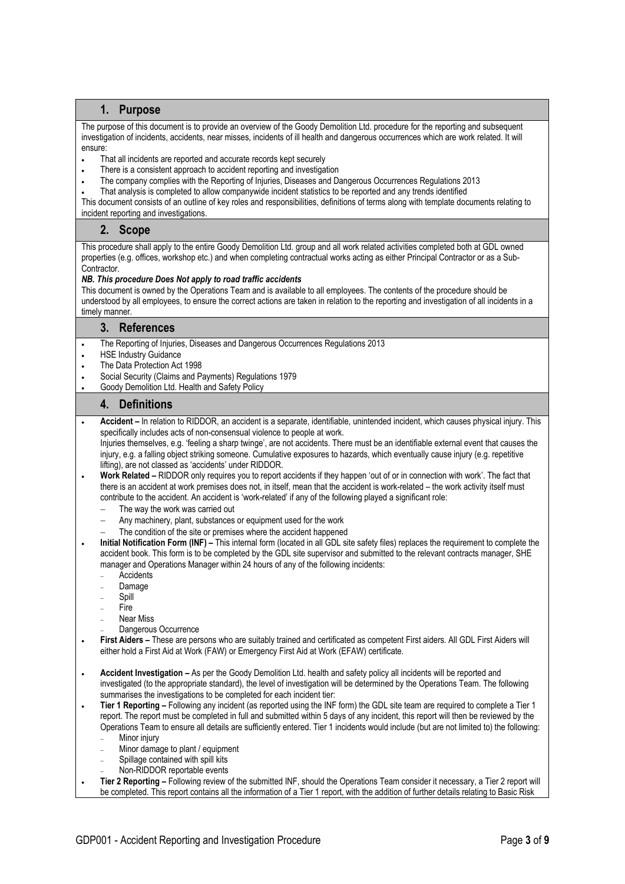# **1. Purpose**

The purpose of this document is to provide an overview of the Goody Demolition Ltd. procedure for the reporting and subsequent investigation of incidents, accidents, near misses, incidents of ill health and dangerous occurrences which are work related. It will ensure:

- That all incidents are reported and accurate records kept securely
- There is a consistent approach to accident reporting and investigation
- The company complies with the Reporting of Injuries, Diseases and Dangerous Occurrences Regulations 2013
- That analysis is completed to allow companywide incident statistics to be reported and any trends identified

This document consists of an outline of key roles and responsibilities, definitions of terms along with template documents relating to incident reporting and investigations.

# **2. Scope**

This procedure shall apply to the entire Goody Demolition Ltd. group and all work related activities completed both at GDL owned properties (e.g. offices, workshop etc.) and when completing contractual works acting as either Principal Contractor or as a Sub-Contractor.

#### *NB. This procedure Does Not apply to road traffic accidents*

This document is owned by the Operations Team and is available to all employees. The contents of the procedure should be understood by all employees, to ensure the correct actions are taken in relation to the reporting and investigation of all incidents in a timely manner.

# **3. References**

- The Reporting of Injuries, Diseases and Dangerous Occurrences Regulations 2013
- HSE Industry Guidance
- The Data Protection Act 1998
- Social Security (Claims and Payments) Regulations 1979
- Goody Demolition Ltd. Health and Safety Policy

# **4. Definitions**

 **Accident –** In relation to RIDDOR, an accident is a separate, identifiable, unintended incident, which causes physical injury. This specifically includes acts of non-consensual violence to people at work.

Injuries themselves, e.g. 'feeling a sharp twinge', are not accidents. There must be an identifiable external event that causes the injury, e.g. a falling object striking someone. Cumulative exposures to hazards, which eventually cause injury (e.g. repetitive lifting), are not classed as 'accidents' under RIDDOR.

- **Work Related –** RIDDOR only requires you to report accidents if they happen 'out of or in connection with work'. The fact that there is an accident at work premises does not, in itself, mean that the accident is work-related – the work activity itself must contribute to the accident. An accident is 'work-related' if any of the following played a significant role:
	- The way the work was carried out
	- Any machinery, plant, substances or equipment used for the work
	- The condition of the site or premises where the accident happened
- **Initial Notification Form (INF) –** This internal form (located in all GDL site safety files) replaces the requirement to complete the accident book. This form is to be completed by the GDL site supervisor and submitted to the relevant contracts manager, SHE manager and Operations Manager within 24 hours of any of the following incidents:
	- **Accidents**
	- Damage
	- Spill
	- Fire
	- Near Miss
	- Dangerous Occurrence
- **First Aiders –** These are persons who are suitably trained and certificated as competent First aiders. All GDL First Aiders will either hold a First Aid at Work (FAW) or Emergency First Aid at Work (EFAW) certificate.
- **Accident Investigation –** As per the Goody Demolition Ltd. health and safety policy all incidents will be reported and investigated (to the appropriate standard), the level of investigation will be determined by the Operations Team. The following summarises the investigations to be completed for each incident tier:
- **Tier 1 Reporting –** Following any incident (as reported using the INF form) the GDL site team are required to complete a Tier 1 report. The report must be completed in full and submitted within 5 days of any incident, this report will then be reviewed by the Operations Team to ensure all details are sufficiently entered. Tier 1 incidents would include (but are not limited to) the following: Minor injury
	- Minor damage to plant / equipment
	- Spillage contained with spill kits
	- Non-RIDDOR reportable events
- **Tier 2 Reporting –** Following review of the submitted INF, should the Operations Team consider it necessary, a Tier 2 report will be completed. This report contains all the information of a Tier 1 report, with the addition of further details relating to Basic Risk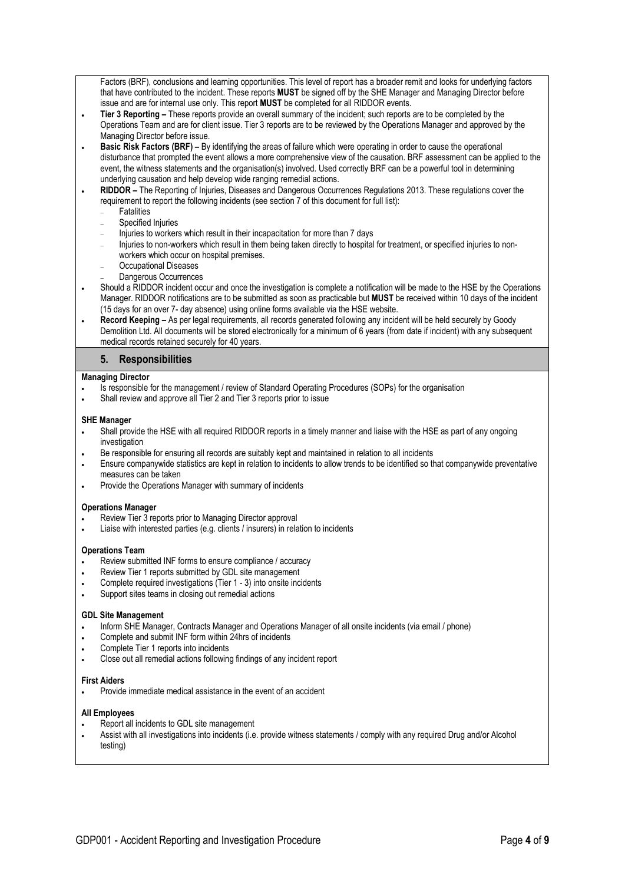Factors (BRF), conclusions and learning opportunities. This level of report has a broader remit and looks for underlying factors that have contributed to the incident. These reports **MUST** be signed off by the SHE Manager and Managing Director before issue and are for internal use only. This report **MUST** be completed for all RIDDOR events.

- **Tier 3 Reporting –** These reports provide an overall summary of the incident; such reports are to be completed by the Operations Team and are for client issue. Tier 3 reports are to be reviewed by the Operations Manager and approved by the Managing Director before issue.
- **Basic Risk Factors (BRF) –** By identifying the areas of failure which were operating in order to cause the operational disturbance that prompted the event allows a more comprehensive view of the causation. BRF assessment can be applied to the event, the witness statements and the organisation(s) involved. Used correctly BRF can be a powerful tool in determining underlying causation and help develop wide ranging remedial actions.

 **RIDDOR –** The Reporting of Injuries, Diseases and Dangerous Occurrences Regulations 2013. These regulations cover the requirement to report the following incidents (see section 7 of this document for full list):

- **Fatalities**
- Specified Injuries
- Injuries to workers which result in their incapacitation for more than 7 days
- Injuries to non-workers which result in them being taken directly to hospital for treatment, or specified injuries to nonworkers which occur on hospital premises.
- Occupational Diseases
- Dangerous Occurrences
- Should a RIDDOR incident occur and once the investigation is complete a notification will be made to the HSE by the Operations Manager. RIDDOR notifications are to be submitted as soon as practicable but **MUST** be received within 10 days of the incident (15 days for an over 7- day absence) using online forms available via the HSE website.
- **Record Keeping –** As per legal requirements, all records generated following any incident will be held securely by Goody Demolition Ltd. All documents will be stored electronically for a minimum of 6 years (from date if incident) with any subsequent medical records retained securely for 40 years.

# **5. Responsibilities**

## **Managing Director**

- Is responsible for the management / review of Standard Operating Procedures (SOPs) for the organisation
- Shall review and approve all Tier 2 and Tier 3 reports prior to issue

## **SHE Manager**

- Shall provide the HSE with all required RIDDOR reports in a timely manner and liaise with the HSE as part of any ongoing investigation
- Be responsible for ensuring all records are suitably kept and maintained in relation to all incidents
- Ensure companywide statistics are kept in relation to incidents to allow trends to be identified so that companywide preventative measures can be taken
- Provide the Operations Manager with summary of incidents

#### **Operations Manager**

- Review Tier 3 reports prior to Managing Director approval
- Liaise with interested parties (e.g. clients / insurers) in relation to incidents

#### **Operations Team**

- Review submitted INF forms to ensure compliance / accuracy
- Review Tier 1 reports submitted by GDL site management
- Complete required investigations (Tier 1 3) into onsite incidents
- Support sites teams in closing out remedial actions

#### **GDL Site Management**

- Inform SHE Manager, Contracts Manager and Operations Manager of all onsite incidents (via email / phone)
- Complete and submit INF form within 24hrs of incidents
- Complete Tier 1 reports into incidents
- Close out all remedial actions following findings of any incident report

#### **First Aiders**

Provide immediate medical assistance in the event of an accident

# **All Employees**

- Report all incidents to GDL site management
- Assist with all investigations into incidents (i.e. provide witness statements / comply with any required Drug and/or Alcohol testing)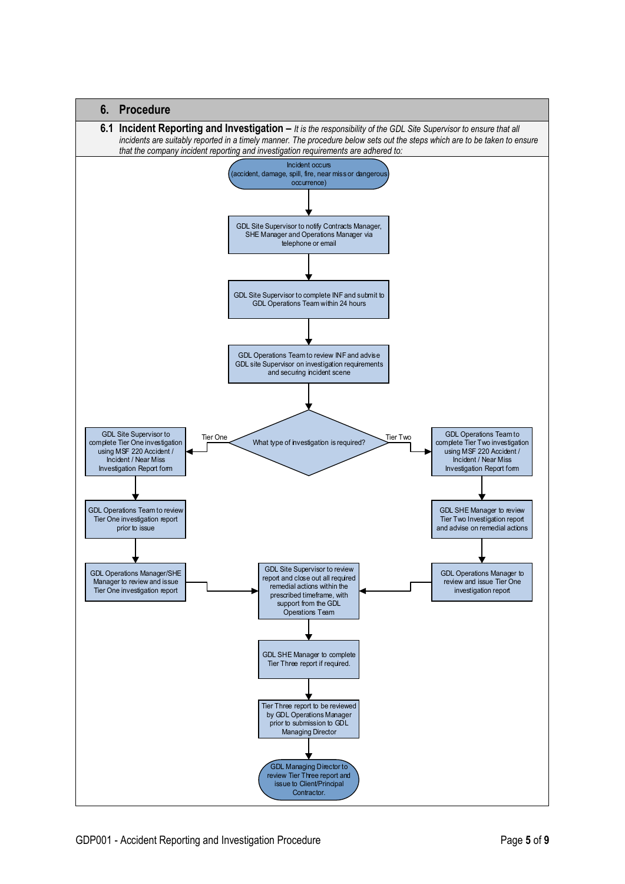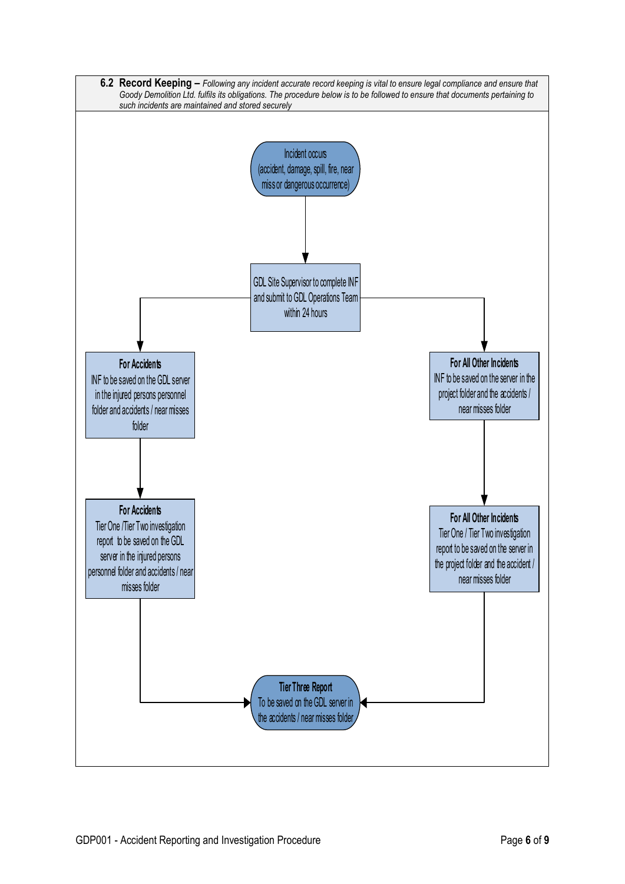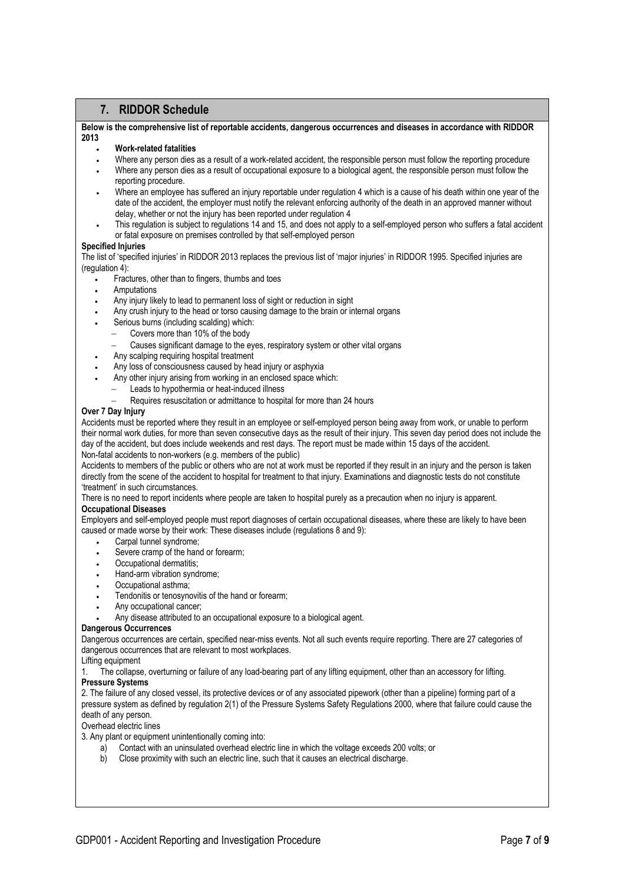# **7. RIDDOR Schedule**

**Below is the comprehensive list of reportable accidents, dangerous occurrences and diseases in accordance with RIDDOR 2013** 

#### **Work-related fatalities**

- Where any person dies as a result of a work-related accident, the responsible person must follow the reporting procedure
- Where any person dies as a result of occupational exposure to a biological agent, the responsible person must follow the reporting procedure.
- Where an employee has suffered an injury reportable under regulation 4 which is a cause of his death within one year of the date of the accident, the employer must notify the relevant enforcing authority of the death in an approved manner without delay, whether or not the injury has been reported under regulation 4
- This regulation is subject to regulations 14 and 15, and does not apply to a self-employed person who suffers a fatal accident or fatal exposure on premises controlled by that self-employed person

# **Specified Injuries**

The list of 'specified injuries' in RIDDOR 2013 replaces the previous list of 'major injuries' in RIDDOR 1995. Specified injuries are (regulation 4):

- Fractures, other than to fingers, thumbs and toes
- Amputations
- Any injury likely to lead to permanent loss of sight or reduction in sight
- Any crush injury to the head or torso causing damage to the brain or internal organs
- Serious burns (including scalding) which:
	- Covers more than 10% of the body
	- Causes significant damage to the eyes, respiratory system or other vital organs
- Any scalping requiring hospital treatment
- Any loss of consciousness caused by head injury or asphyxia
- Any other injury arising from working in an enclosed space which:
	- Leads to hypothermia or heat-induced illness
	- Requires resuscitation or admittance to hospital for more than 24 hours

## **Over 7 Day Injury**

Accidents must be reported where they result in an employee or self-employed person being away from work, or unable to perform their normal work duties, for more than seven consecutive days as the result of their injury. This seven day period does not include the day of the accident, but does include weekends and rest days. The report must be made within 15 days of the accident. Non-fatal accidents to non-workers (e.g. members of the public)

Accidents to members of the public or others who are not at work must be reported if they result in an injury and the person is taken directly from the scene of the accident to hospital for treatment to that injury. Examinations and diagnostic tests do not constitute 'treatment' in such circumstances.

There is no need to report incidents where people are taken to hospital purely as a precaution when no injury is apparent.

#### **Occupational Diseases**

Employers and self-employed people must report diagnoses of certain occupational diseases, where these are likely to have been caused or made worse by their work: These diseases include (regulations 8 and 9):

- Carpal tunnel syndrome;
- Severe cramp of the hand or forearm;
- Occupational dermatitis;
- Hand-arm vibration syndrome;
- Occupational asthma;
- Tendonitis or tenosynovitis of the hand or forearm;
- Any occupational cancer;
- Any disease attributed to an occupational exposure to a biological agent.

#### **Dangerous Occurrences**

Dangerous occurrences are certain, specified near-miss events. Not all such events require reporting. There are 27 categories of dangerous occurrences that are relevant to most workplaces.

# Lifting equipment

1. The collapse, overturning or failure of any load-bearing part of any lifting equipment, other than an accessory for lifting. **Pressure Systems** 

# 2. The failure of any closed vessel, its protective devices or of any associated pipework (other than a pipeline) forming part of a pressure system as defined by regulation 2(1) of the Pressure Systems Safety Regulations 2000, where that failure could cause the death of any person.

#### Overhead electric lines

3. Any plant or equipment unintentionally coming into:

- a) Contact with an uninsulated overhead electric line in which the voltage exceeds 200 volts; or
- b) Close proximity with such an electric line, such that it causes an electrical discharge.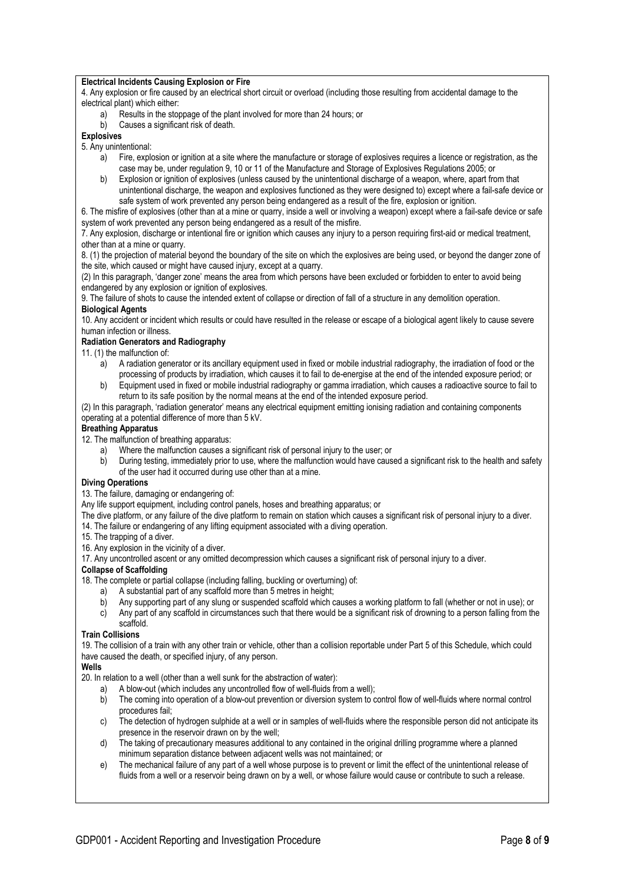## **Electrical Incidents Causing Explosion or Fire**

4. Any explosion or fire caused by an electrical short circuit or overload (including those resulting from accidental damage to the electrical plant) which either:

- a) Results in the stoppage of the plant involved for more than 24 hours; or
- b) Causes a significant risk of death.

# **Explosives**

- 5. Any unintentional:
	- a) Fire, explosion or ignition at a site where the manufacture or storage of explosives requires a licence or registration, as the case may be, under regulation 9, 10 or 11 of the Manufacture and Storage of Explosives Regulations 2005; or
	- b) Explosion or ignition of explosives (unless caused by the unintentional discharge of a weapon, where, apart from that unintentional discharge, the weapon and explosives functioned as they were designed to) except where a fail-safe device or safe system of work prevented any person being endangered as a result of the fire, explosion or ignition.

6. The misfire of explosives (other than at a mine or quarry, inside a well or involving a weapon) except where a fail-safe device or safe system of work prevented any person being endangered as a result of the misfire.

7. Any explosion, discharge or intentional fire or ignition which causes any injury to a person requiring first-aid or medical treatment, other than at a mine or quarry.

8. (1) the projection of material beyond the boundary of the site on which the explosives are being used, or beyond the danger zone of the site, which caused or might have caused injury, except at a quarry.

(2) In this paragraph, 'danger zone' means the area from which persons have been excluded or forbidden to enter to avoid being endangered by any explosion or ignition of explosives.

9. The failure of shots to cause the intended extent of collapse or direction of fall of a structure in any demolition operation. **Biological Agents** 

10. Any accident or incident which results or could have resulted in the release or escape of a biological agent likely to cause severe human infection or illness.

# **Radiation Generators and Radiography**

- 11. (1) the malfunction of:
	- a) A radiation generator or its ancillary equipment used in fixed or mobile industrial radiography, the irradiation of food or the processing of products by irradiation, which causes it to fail to de-energise at the end of the intended exposure period; or
	- b) Equipment used in fixed or mobile industrial radiography or gamma irradiation, which causes a radioactive source to fail to return to its safe position by the normal means at the end of the intended exposure period.

(2) In this paragraph, 'radiation generator' means any electrical equipment emitting ionising radiation and containing components operating at a potential difference of more than 5 kV.

# **Breathing Apparatus**

12. The malfunction of breathing apparatus:

- a) Where the malfunction causes a significant risk of personal injury to the user; or
- b) During testing, immediately prior to use, where the malfunction would have caused a significant risk to the health and safety of the user had it occurred during use other than at a mine.

# **Diving Operations**

13. The failure, damaging or endangering of:

Any life support equipment, including control panels, hoses and breathing apparatus; or

The dive platform, or any failure of the dive platform to remain on station which causes a significant risk of personal injury to a diver.

- 14. The failure or endangering of any lifting equipment associated with a diving operation.
- 15. The trapping of a diver.
- 16. Any explosion in the vicinity of a diver.

17. Any uncontrolled ascent or any omitted decompression which causes a significant risk of personal injury to a diver.

# **Collapse of Scaffolding**

18. The complete or partial collapse (including falling, buckling or overturning) of:

- a) A substantial part of any scaffold more than 5 metres in height;
- b) Any supporting part of any slung or suspended scaffold which causes a working platform to fall (whether or not in use); or
- c) Any part of any scaffold in circumstances such that there would be a significant risk of drowning to a person falling from the scaffold.

# **Train Collisions**

19. The collision of a train with any other train or vehicle, other than a collision reportable under Part 5 of this Schedule, which could have caused the death, or specified injury, of any person.

#### **Wells**

20. In relation to a well (other than a well sunk for the abstraction of water):

- a) A blow-out (which includes any uncontrolled flow of well-fluids from a well);
- b) The coming into operation of a blow-out prevention or diversion system to control flow of well-fluids where normal control procedures fail;
- c) The detection of hydrogen sulphide at a well or in samples of well-fluids where the responsible person did not anticipate its presence in the reservoir drawn on by the well;
- d) The taking of precautionary measures additional to any contained in the original drilling programme where a planned minimum separation distance between adjacent wells was not maintained; or
- e) The mechanical failure of any part of a well whose purpose is to prevent or limit the effect of the unintentional release of fluids from a well or a reservoir being drawn on by a well, or whose failure would cause or contribute to such a release.